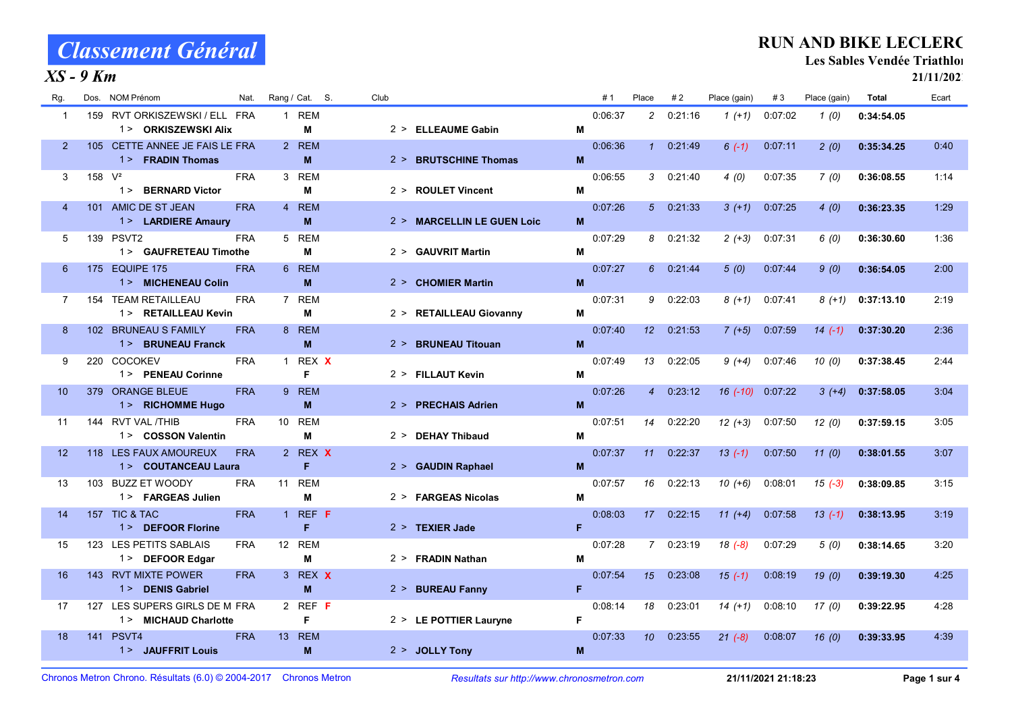#### $XS - 9$  Km

#### RUN AND BIKE LECLERC

Les Sables Vendée Triathlon

| Rg.               |           | Dos. NOM Prénom                                       | Nat.       | Rang / Cat. S.                     | Club |                            |    | #1      | Place           | #2       | Place (gain) | #3        | Place (gain) | <b>Total</b> | Ecart |
|-------------------|-----------|-------------------------------------------------------|------------|------------------------------------|------|----------------------------|----|---------|-----------------|----------|--------------|-----------|--------------|--------------|-------|
| $\overline{1}$    |           | 159 RVT ORKISZEWSKI / ELL FRA<br>1 > ORKISZEWSKI Alix |            | 1 REM<br>м                         |      | 2 > ELLEAUME Gabin         | M  | 0:06:37 | $\overline{2}$  | 0:21:16  | $1(+1)$      | 0:07:02   | 1(0)         | 0:34:54.05   |       |
| $\overline{2}$    |           | 105 CETTE ANNEE JE FAIS LE FRA<br>1 > FRADIN Thomas   |            | 2 REM<br>M                         |      | 2 > BRUTSCHINE Thomas      | M  | 0:06:36 | $\mathbf{1}$    | 0.21.49  | $6(-1)$      | 0.07:11   | 2(0)         | 0:35:34.25   | 0:40  |
| 3                 | 158 $V^2$ | 1 > BERNARD Victor                                    | <b>FRA</b> | 3 REM<br>м                         |      | 2 > ROULET Vincent         | M  | 0:06:55 | 3               | 0:21:40  | 4(0)         | 0:07:35   | 7(0)         | 0:36:08.55   | 1:14  |
| 4                 |           | 101 AMIC DE ST JEAN<br>1> LARDIERE Amaury             | <b>FRA</b> | 4 REM<br>M                         |      | 2 > MARCELLIN LE GUEN Loic | M  | 0:07:26 |                 | 50.21.33 | $3(+1)$      | 0:07:25   | 4(0)         | 0:36:23.35   | 1:29  |
| 5                 |           | 139 PSVT2<br>1> GAUFRETEAU Timothe                    | <b>FRA</b> | 5 REM<br>м                         |      | 2 > GAUVRIT Martin         | M  | 0.07:29 | 8               | 0:21:32  | $2(+3)$      | 0:07:31   | 6(0)         | 0:36:30.60   | 1:36  |
| 6                 |           | 175 EQUIPE 175<br>1> MICHENEAU Colin                  | <b>FRA</b> | 6 REM<br>M                         |      | 2 > CHOMIER Martin         | M  | 0.07:27 | 6               | 0:21:44  | 5(0)         | 0 0 7 4 4 | 9(0)         | 0:36:54.05   | 2:00  |
| $\overline{7}$    |           | 154 TEAM RETAILLEAU<br>1 > RETAILLEAU Kevin           | <b>FRA</b> | 7 REM<br>м                         |      | 2 > RETAILLEAU Giovanny    | M  | 0.07.31 | 9               | 0:22:03  | $8(+1)$      | 0.07.41   | 8 (+1)       | 0:37:13.10   | 2:19  |
| 8                 |           | 102 BRUNEAU S FAMILY<br>1 > BRUNEAU Franck            | <b>FRA</b> | 8 REM<br>M                         |      | 2 > BRUNEAU Titouan        | M  | 0:07:40 | 12              | 0:21:53  | $7(+5)$      | 0:07:59   | $14( -1)$    | 0:37:30.20   | 2:36  |
| 9                 |           | 220 COCOKEV<br>1 > PENEAU Corinne                     | <b>FRA</b> | 1 REX X<br>F                       |      | 2 > FILLAUT Kevin          | M  | 0:07:49 | 13              | 0:22:05  | $9 (+4)$     | 0:07:46   | 10(0)        | 0:37:38.45   | 2:44  |
| 10 <sup>°</sup>   |           | 379 ORANGE BLEUE<br>1> RICHOMME Hugo                  | <b>FRA</b> | 9 REM<br>M                         |      | 2 > PRECHAIS Adrien        | M  | 0:07:26 | $\overline{4}$  | 0:23:12  | $16(-10)$    | 0.07:22   | $3(+4)$      | 0:37:58.05   | 3:04  |
| 11                |           | 144 RVT VAL /THIB<br>1> COSSON Valentin               | <b>FRA</b> | 10 REM<br>M                        |      | 2 > DEHAY Thibaud          | M  | 0:07:51 | 14              | 0:22:20  | $12 (+3)$    | 0:07:50   | 12(0)        | 0:37:59.15   | 3:05  |
| $12 \overline{ }$ |           | 118 LES FAUX AMOUREUX<br>1> COUTANCEAU Laura          | <b>FRA</b> | 2 REX X<br>F                       |      | 2 > GAUDIN Raphael         | M  | 0:07:37 | 11              | 0:22:37  | $13(-1)$     | 0 0 7 50  | 11(0)        | 0:38:01.55   | 3:07  |
| 13                |           | 103 BUZZ ET WOODY<br>1 > FARGEAS Julien               | <b>FRA</b> | 11 REM<br>м                        |      | 2 > FARGEAS Nicolas        | M  | 0:07:57 | 16              | 0:22:13  | $10(+6)$     | 0:08:01   | $15( -3)$    | 0:38:09.85   | 3:15  |
| 14                |           | 157 TIC & TAC<br>1 > DEFOOR Florine                   | <b>FRA</b> | 1 REF $F$<br>F                     |      | $2 >$ TEXIER Jade          | F  | 0:08:03 | 17 <sup>2</sup> | 0:22:15  | $11 (+4)$    | 0:07:58   | $13( -1)$    | 0:38:13.95   | 3:19  |
| 15                |           | 123 LES PETITS SABLAIS<br>1 > DEFOOR Edgar            | <b>FRA</b> | 12 REM<br>M                        |      | 2 > FRADIN Nathan          | M  | 0.07:28 | $\overline{7}$  | 0:23:19  | $18(-8)$     | 0.07:29   | 5(0)         | 0:38:14.65   | 3:20  |
| 16                |           | 143 RVT MIXTE POWER<br>1 > DENIS Gabriel              | <b>FRA</b> | 3 REX X<br>M                       |      | 2 > BUREAU Fanny           | F  | 0.07.54 | 15              | 0:23:08  | $15(-1)$     | 0.08.19   | 19(0)        | 0:39:19.30   | 4 2 5 |
| 17                | 127       | LES SUPERS GIRLS DE M FRA<br>1 > MICHAUD Charlotte    |            | 2 REF $F$<br>F                     |      | 2 > LE POTTIER Lauryne     | F. | 0:08:14 | 18              | 0:23:01  | $14(+1)$     | 0:08:10   | 17(0)        | 0:39:22.95   | 4:28  |
| 18                | 141       | PSVT4<br>1 > JAUFFRIT Louis                           | <b>FRA</b> | <b>REM</b><br>13 <sup>7</sup><br>M |      | 2 > JOLLY Tony             | M  | 0.07:33 | 10              | 0:23:55  | $21 (-8)$    | 0.08.07   | 16(0)        | 0:39:33.95   | 4:39  |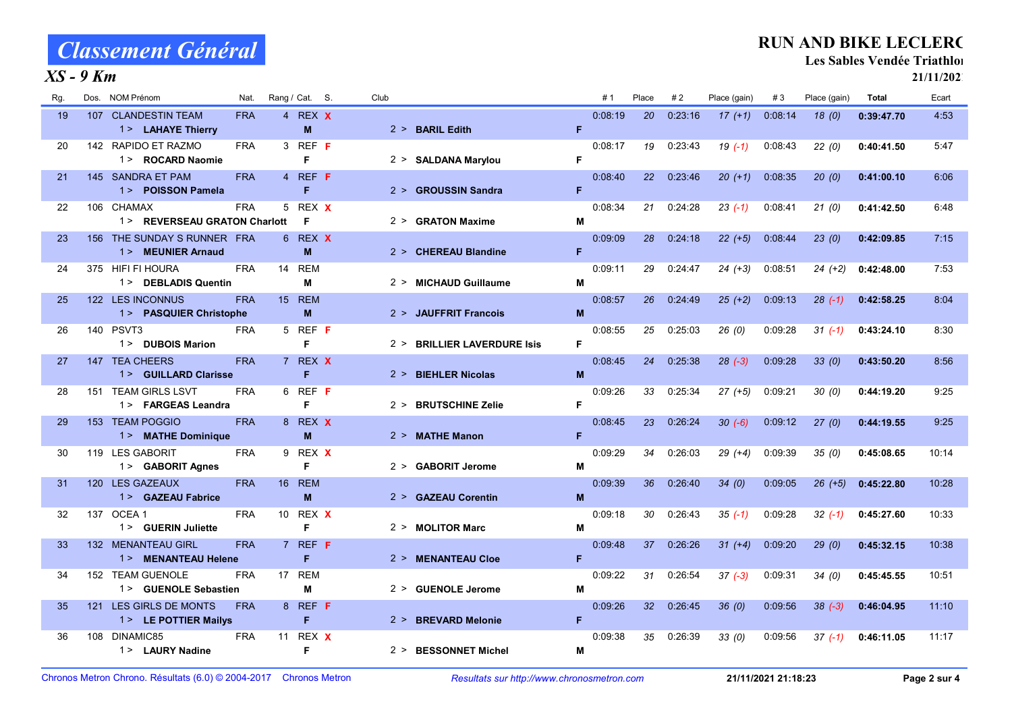#### $XS - 9$  Km

#### RUN AND BIKE LECLERC

Les Sables Vendée Triathlon

| Rg. | NOM Prénom<br>Dos.                                | Nat.       |    | Rang / Cat. S.     | Club |                             |    | #1      | Place           | #2      | Place (gain) | #3      | Place (gain) | <b>Total</b> | Ecart |
|-----|---------------------------------------------------|------------|----|--------------------|------|-----------------------------|----|---------|-----------------|---------|--------------|---------|--------------|--------------|-------|
| 19  | 107 CLANDESTIN TEAM<br>1> LAHAYE Thierry          | <b>FRA</b> |    | 4 REX X<br>M       |      | 2 > BARIL Edith             | F  | 0:08:19 | 20              | 0.23.16 | $17(+1)$     | 0.08.14 | 18(0)        | 0:39:47.70   | 4:53  |
| 20  | 142 RAPIDO ET RAZMO<br>1> ROCARD Naomie           | <b>FRA</b> |    | 3 REF F<br>F       |      | 2 > SALDANA Marylou         | F  | 0:08:17 | 19              | 0:23:43 | $19( -1)$    | 0.08.43 | 22(0)        | 0:40:41.50   | 5:47  |
| 21  | 145 SANDRA ET PAM<br>1> POISSON Pamela            | <b>FRA</b> |    | 4 REF F<br>F       |      | 2 > GROUSSIN Sandra         | F  | 0.08.40 | 22              | 0.23.46 | $20(+1)$     | 0:08:35 | 20(0)        | 0:41:00.10   | 6:06  |
| 22  | 106 CHAMAX<br>1> REVERSEAU GRATON Charlott        | <b>FRA</b> |    | 5 REX X<br>F       |      | 2 > GRATON Maxime           | M  | 0:08:34 | 21              | 0:24:28 | $23( -1)$    | 0.08:41 | 21(0)        | 0:41:42.50   | 6:48  |
| 23  | 156 THE SUNDAY S RUNNER FRA<br>1 > MEUNIER Arnaud |            |    | 6 REX X<br>M       |      | 2 > CHEREAU Blandine        | F  | 0:09:09 | 28              | 0.24:18 | $22(+5)$     | 0 08:44 | 23(0)        | 0:42:09.85   | 7:15  |
| 24  | 375 HIFI FI HOURA<br>1> DEBLADIS Quentin          | <b>FRA</b> | 14 | <b>REM</b><br>М    |      | 2 > MICHAUD Guillaume       | M  | 0.09.11 | 29              | 0:24:47 | $24 (+3)$    | 0:08:51 | $24 (+2)$    | 0:42:48.00   | 7:53  |
| 25  | 122 LES INCONNUS<br>1> PASQUIER Christophe        | <b>FRA</b> |    | 15 REM<br>M        |      | 2 > JAUFFRIT Francois       | M  | 0.08.57 | 26              | 0:24:49 | $25 (+2)$    | 0 09:13 | $28$ (-1)    | 0:42:58.25   | 8:04  |
| 26  | 140 PSVT3<br>1> DUBOIS Marion                     | <b>FRA</b> |    | 5 REF F<br>F       |      | 2 > BRILLIER LAVERDURE Isis | F  | 0.08:55 | 25              | 0:25:03 | 26(0)        | 0.09.28 | $31(-1)$     | 0:43:24.10   | 8:30  |
| 27  | 147 TEA CHEERS<br>1 > GUILLARD Clarisse           | <b>FRA</b> |    | 7 REX X<br>F       |      | 2 > BIEHLER Nicolas         | M  | 0.08:45 | 24              | 0:25:38 | $28(-3)$     | 0.09:28 | 33(0)        | 0:43:50.20   | 8:56  |
| 28  | 151 TEAM GIRLS LSVT<br>1 > FARGEAS Leandra        | <b>FRA</b> |    | 6 REF $F$<br>F     |      | 2 > BRUTSCHINE Zelie        | F  | 0:09:26 | 33              | 0:25:34 | $27 (+5)$    | 0:09:21 | 30(0)        | 0:44:19.20   | 9:25  |
| 29  | 153 TEAM POGGIO<br>1 > MATHE Dominique            | <b>FRA</b> |    | 8 REX X<br>M       |      | 2 > MATHE Manon             | F. | 0.08.45 | 23              | 0:26:24 | $30(-6)$     | 0:09:12 | 27(0)        | 0:44:19.55   | 9:25  |
| 30  | 119 LES GABORIT<br>1 > GABORIT Agnes              | <b>FRA</b> |    | 9 REX X<br>F       |      | 2 > GABORIT Jerome          | м  | 0:09:29 | 34              | 0:26:03 | $29(+4)$     | 0.09.39 | 35(0)        | 0:45:08.65   | 10:14 |
| 31  | 120 LES GAZEAUX<br>1 > GAZEAU Fabrice             | <b>FRA</b> |    | <b>16 REM</b><br>M |      | 2 > GAZEAU Corentin         | M  | 0:09:39 | 36              | 0.26.40 | 34(0)        | 0:09:05 | $26 (+5)$    | 0:45:22.80   | 10:28 |
| 32  | 137 OCEA 1<br>1 > GUERIN Juliette                 | <b>FRA</b> |    | 10 REX X<br>F      |      | 2 > MOLITOR Marc            | м  | 0:09:18 | 30              | 0:26:43 | $35(-1)$     | 0:09:28 | $32( -1)$    | 0:45:27.60   | 10:33 |
| 33  | 132 MENANTEAU GIRL<br>1 > MENANTEAU Helene        | <b>FRA</b> |    | 7 REF F<br>F       |      | 2 > MENANTEAU Cloe          | F. | 0:09:48 | 37              | 0:26:26 | $31 (+4)$    | 0 09:20 | 29(0)        | 0:45:32.15   | 10:38 |
| 34  | 152 TEAM GUENOLE<br>1> GUENOLE Sebastien          | <b>FRA</b> |    | 17 REM<br>M        |      | 2 > GUENOLE Jerome          | м  | 0:09:22 | 31              | 0:26:54 | $37(-3)$     | 0:09:31 | 34(0)        | 0:45:45.55   | 10:51 |
| 35  | LES GIRLS DE MONTS<br>121<br>1> LE POTTIER Mailys | <b>FRA</b> |    | 8 REF F<br>F       |      | 2 > BREVARD Melonie         | F. | 0:09:26 | 32 <sup>°</sup> | 0.26:45 | 36(0)        | 0:09:56 | $38 (-3)$    | 0:46:04.95   | 11:10 |
| 36  | 108<br>DINAMIC85<br>1 > LAURY Nadine              | <b>FRA</b> | 11 | REX X<br>F         |      | 2 > BESSONNET Michel        | M  | 0:09:38 | 35              | 0:26:39 | 33(0)        | 0:09:56 | $37(-1)$     | 0:46:11.05   | 11:17 |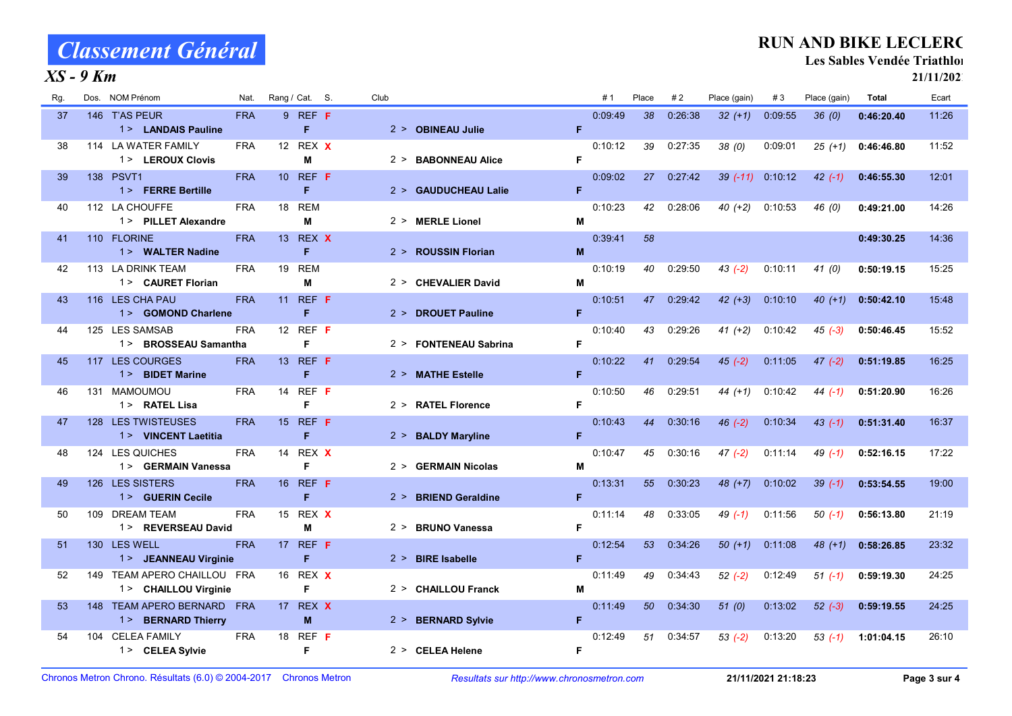#### $XS - 9$  Km

#### RUN AND BIKE LECLERC

Les Sables Vendée Triathlon

| Rg. | NOM Prénom<br>Dos.                                     | Nat.       | Rang / Cat. S.                | Club  |                       |    | #1      | Place | #2      | Place (gain) | #3      | Place (gain) | <b>Total</b> | Ecart |
|-----|--------------------------------------------------------|------------|-------------------------------|-------|-----------------------|----|---------|-------|---------|--------------|---------|--------------|--------------|-------|
| 37  | 146 T'AS PEUR<br>1> LANDAIS Pauline                    | <b>FRA</b> | 9 REF F<br>F                  |       | 2 > OBINEAU Julie     | F  | 0.09.49 | 38    | 0.26.38 | $32 (+1)$    | 0.09.55 | 36(0)        | 0:46:20.40   | 11:26 |
| 38  | 114 LA WATER FAMILY<br>1> LEROUX Clovis                | <b>FRA</b> | 12 REX X<br>M                 |       | 2 > BABONNEAU Alice   | F  | 0:10:12 | 39    | 0:27:35 | 38(0)        | 0:09:01 | $25(+1)$     | 0:46:46.80   | 11:52 |
| 39  | 138 PSVT1<br>1> FERRE Bertille                         | <b>FRA</b> | 10 REF F<br>F                 |       | 2 > GAUDUCHEAU Lalie  | F  | 0:09:02 | 27    | 0:27:42 | $39(-11)$    | 0:10:12 | $42( -1)$    | 0:46:55.30   | 12:01 |
| 40  | 112 LA CHOUFFE<br>1 > PILLET Alexandre                 | <b>FRA</b> | <b>REM</b><br>18<br>M         |       | 2 > MERLE Lionel      | M  | 0:10:23 | 42    | 0:28:06 | $40 (+2)$    | 0:10:53 | 46 (0)       | 0:49:21.00   | 14:26 |
| 41  | 110 FLORINE<br>1> WALTER Nadine                        | <b>FRA</b> | 13 REX X<br>F                 |       | 2 > ROUSSIN Florian   | M  | 0:39:41 | 58    |         |              |         |              | 0:49:30.25   | 14:36 |
| 42  | 113 LA DRINK TEAM<br>1> CAURET Florian                 | <b>FRA</b> | <b>REM</b><br>19<br>М         |       | 2 > CHEVALIER David   | M  | 0:10:19 | 40    | 0:29:50 | $43(-2)$     | 0:10:11 | 41(0)        | 0:50:19.15   | 15:25 |
| 43  | 116 LES CHA PAU<br>1> GOMOND Charlene                  | <b>FRA</b> | 11 REF F<br>F                 |       | 2 > DROUET Pauline    | F  | 0:10:51 | 47    | 0:29:42 | $42 (+3)$    | 0:10:10 | $40(+1)$     | 0:50:42.10   | 15:48 |
| 44  | 125 LES SAMSAB<br>1 > BROSSEAU Samantha                | <b>FRA</b> | 12 REF F<br>F                 |       | 2 > FONTENEAU Sabrina | F  | 0:10:40 | 43    | 0:29:26 | $41 (+2)$    | 0:10:42 | $45(-3)$     | 0:50:46.45   | 15:52 |
| 45  | 117 LES COURGES<br>1 > BIDET Marine                    | <b>FRA</b> | 13 REF F<br>F                 |       | 2 > MATHE Estelle     | F  | 0:10:22 | 41    | 0:29:54 | $45(-2)$     | 0:11:05 | $47 (-2)$    | 0:51:19.85   | 16:25 |
| 46  | 131 MAMOUMOU<br>1> RATEL Lisa                          | <b>FRA</b> | REF F<br>14<br>F              |       | 2 > RATEL Florence    | F  | 0:10:50 | 46    | 0:29:51 | $44 (+1)$    | 0:10:42 | $44(-1)$     | 0:51:20.90   | 16:26 |
| 47  | 128 LES TWISTEUSES<br>1> VINCENT Laetitia              | <b>FRA</b> | 15 REF F<br>F                 |       | 2 > BALDY Maryline    | F  | 0:10:43 | 44    | 0:30:16 | $46(-2)$     | 0:10:34 | $43(-1)$     | 0:51:31.40   | 16:37 |
| 48  | LES QUICHES<br>124<br>1> GERMAIN Vanessa               | <b>FRA</b> | REX X<br>14<br>F              |       | 2 > GERMAIN Nicolas   | M  | 0:10:47 | 45    | 0:30:16 | $47(-2)$     | 0:11:14 | $49(-1)$     | 0:52:16.15   | 17:22 |
| 49  | 126 LES SISTERS<br>1> GUERIN Cecile                    | <b>FRA</b> | 16 REF <b>F</b><br>F          |       | 2 > BRIEND Geraldine  | F. | 0:13:31 | 55    | 0:30:23 | $48 (+7)$    | 0:10:02 | $39(-1)$     | 0:53:54.55   | 19:00 |
| 50  | <b>DREAM TEAM</b><br>109<br>1> REVERSEAU David         | <b>FRA</b> | 15<br>REX X<br>M              |       | 2 > BRUNO Vanessa     | F  | 0:11:14 | 48    | 0:33:05 | $49( -1)$    | 0:11:56 | $50(-1)$     | 0:56:13.80   | 21:19 |
| 51  | 130 LES WELL<br>1> JEANNEAU Virginie                   | <b>FRA</b> | REF F<br>17 <sup>2</sup><br>F |       | $2 >$ BIRE Isabelle   | F  | 0:12:54 | 53    | 0:34:26 | $50 (+1)$    | 0.11.08 | $48 (+1)$    | 0:58:26.85   | 23:32 |
| 52  | TEAM APERO CHAILLOU FRA<br>149<br>1> CHAILLOU Virginie |            | REX X<br>16<br>F              |       | 2 > CHAILLOU Franck   | M  | 0:11:49 | 49    | 0:34:43 | $52 (-2)$    | 0:12:49 | $51(-1)$     | 0:59:19.30   | 24:25 |
| 53  | TEAM APERO BERNARD FRA<br>148<br>1> BERNARD Thierry    |            | REX X<br>17 <sup>2</sup><br>M | 2 > 1 | <b>BERNARD Sylvie</b> | F  | 0.11.49 | 50    | 0:34:30 | 51(0)        | 0:13:02 | $52(-3)$     | 0:59:19.55   | 24:25 |
| 54  | <b>CELEA FAMILY</b><br>104<br>1> CELEA Sylvie          | <b>FRA</b> | REF F<br>18<br>F              |       | 2 > CELEA Helene      | F  | 0:12:49 | 51    | 0:34:57 | $53(-2)$     | 0:13:20 | $53(-1)$     | 1:01:04.15   | 26:10 |